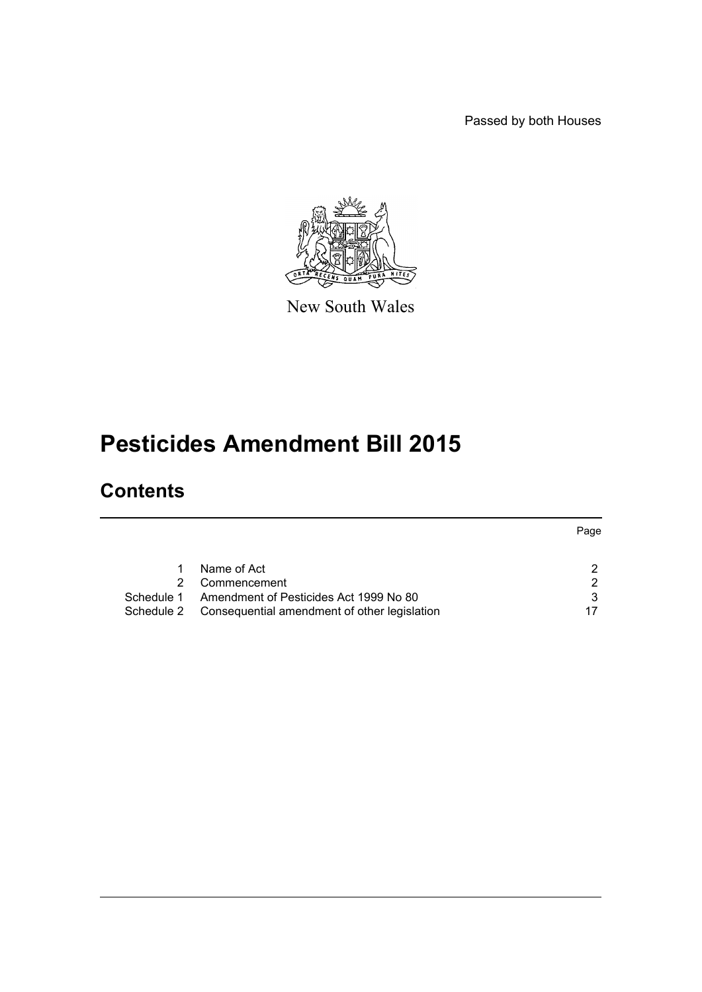Passed by both Houses



New South Wales

# **Pesticides Amendment Bill 2015**

# **Contents**

|            |                                              | Page |
|------------|----------------------------------------------|------|
|            |                                              |      |
|            | Name of Act                                  | າ    |
|            | Commencement                                 | ົ    |
| Schedule 1 | Amendment of Pesticides Act 1999 No 80       | 3    |
| Schedule 2 | Consequential amendment of other legislation |      |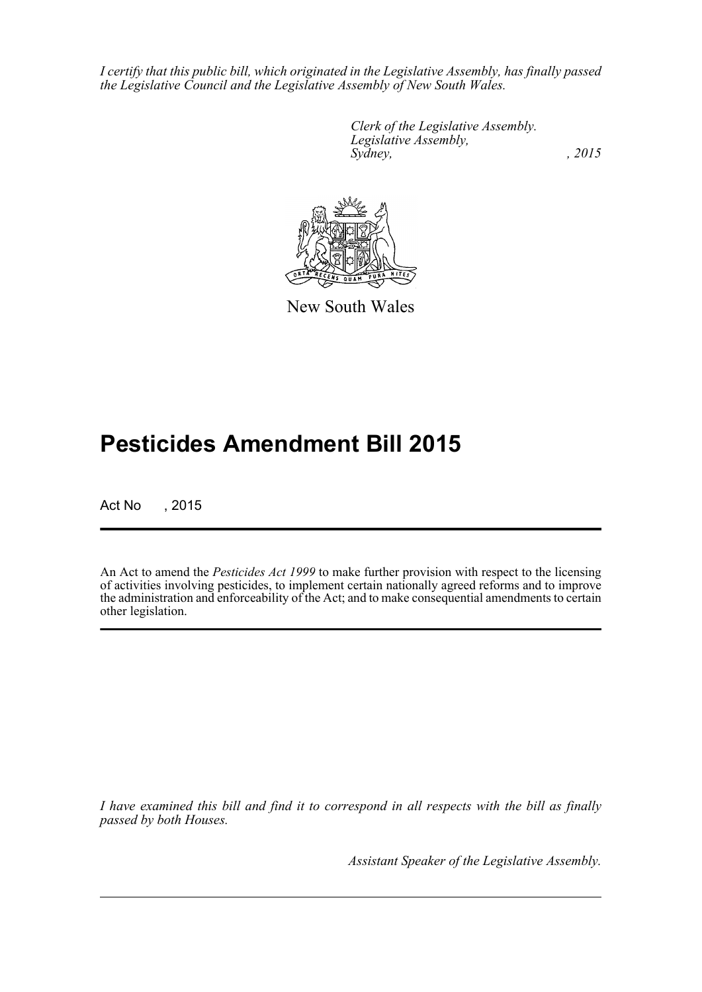*I certify that this public bill, which originated in the Legislative Assembly, has finally passed the Legislative Council and the Legislative Assembly of New South Wales.*

> *Clerk of the Legislative Assembly. Legislative Assembly, Sydney,* , 2015



New South Wales

# **Pesticides Amendment Bill 2015**

Act No , 2015

An Act to amend the *Pesticides Act 1999* to make further provision with respect to the licensing of activities involving pesticides, to implement certain nationally agreed reforms and to improve the administration and enforceability of the Act; and to make consequential amendments to certain other legislation.

*I have examined this bill and find it to correspond in all respects with the bill as finally passed by both Houses.*

*Assistant Speaker of the Legislative Assembly.*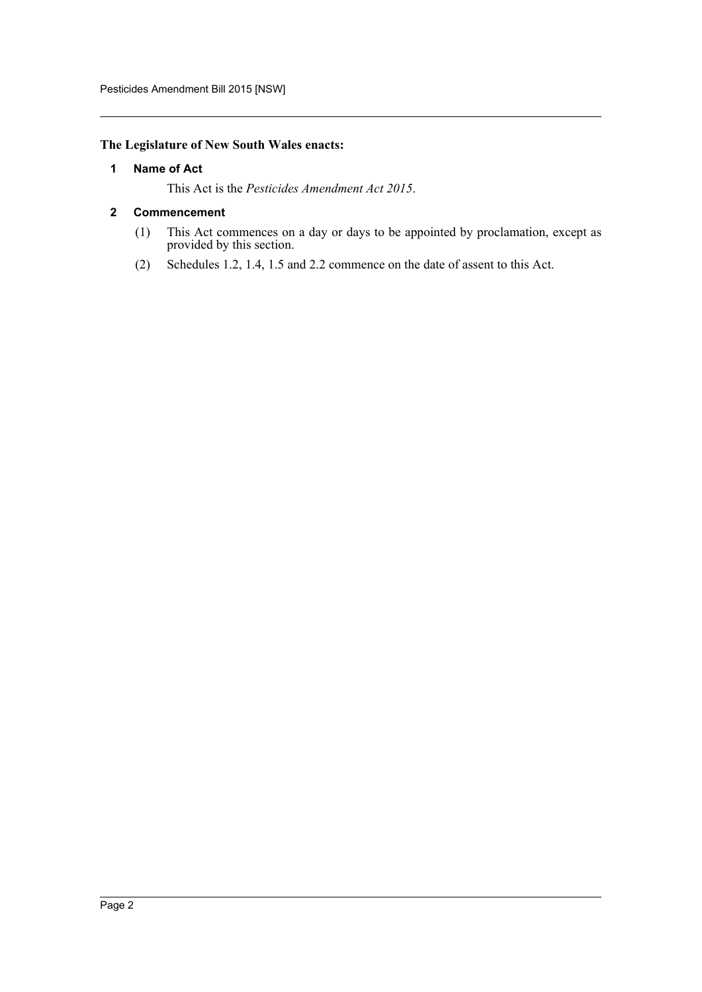# <span id="page-2-0"></span>**The Legislature of New South Wales enacts:**

#### **1 Name of Act**

This Act is the *Pesticides Amendment Act 2015*.

#### <span id="page-2-1"></span>**2 Commencement**

- (1) This Act commences on a day or days to be appointed by proclamation, except as provided by this section.
- (2) Schedules 1.2, 1.4, 1.5 and 2.2 commence on the date of assent to this Act.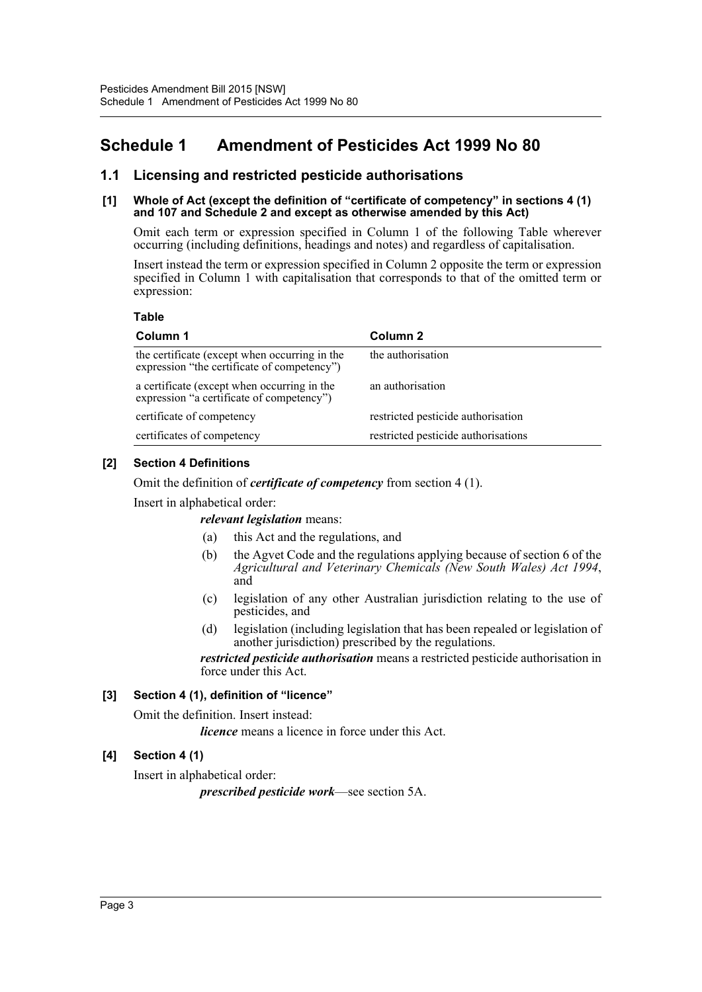# <span id="page-3-0"></span>**Schedule 1 Amendment of Pesticides Act 1999 No 80**

# **1.1 Licensing and restricted pesticide authorisations**

#### **[1] Whole of Act (except the definition of "certificate of competency" in sections 4 (1) and 107 and Schedule 2 and except as otherwise amended by this Act)**

Omit each term or expression specified in Column 1 of the following Table wherever occurring (including definitions, headings and notes) and regardless of capitalisation.

Insert instead the term or expression specified in Column 2 opposite the term or expression specified in Column 1 with capitalisation that corresponds to that of the omitted term or expression:

#### **Table**

| Column 1                                                                                     | Column 2                            |  |
|----------------------------------------------------------------------------------------------|-------------------------------------|--|
| the certificate (except when occurring in the<br>expression "the certificate of competency") | the authorisation                   |  |
| a certificate (except when occurring in the<br>expression "a certificate of competency")     | an authorisation                    |  |
| certificate of competency                                                                    | restricted pesticide authorisation  |  |
| certificates of competency                                                                   | restricted pesticide authorisations |  |

# **[2] Section 4 Definitions**

Omit the definition of *certificate of competency* from section 4 (1).

Insert in alphabetical order:

*relevant legislation* means:

- (a) this Act and the regulations, and
- (b) the Agvet Code and the regulations applying because of section 6 of the *Agricultural and Veterinary Chemicals (New South Wales) Act 1994*, and
- (c) legislation of any other Australian jurisdiction relating to the use of pesticides, and
- (d) legislation (including legislation that has been repealed or legislation of another jurisdiction) prescribed by the regulations.

*restricted pesticide authorisation* means a restricted pesticide authorisation in force under this Act.

# **[3] Section 4 (1), definition of "licence"**

Omit the definition. Insert instead:

*licence* means a licence in force under this Act.

# **[4] Section 4 (1)**

Insert in alphabetical order:

*prescribed pesticide work*—see section 5A.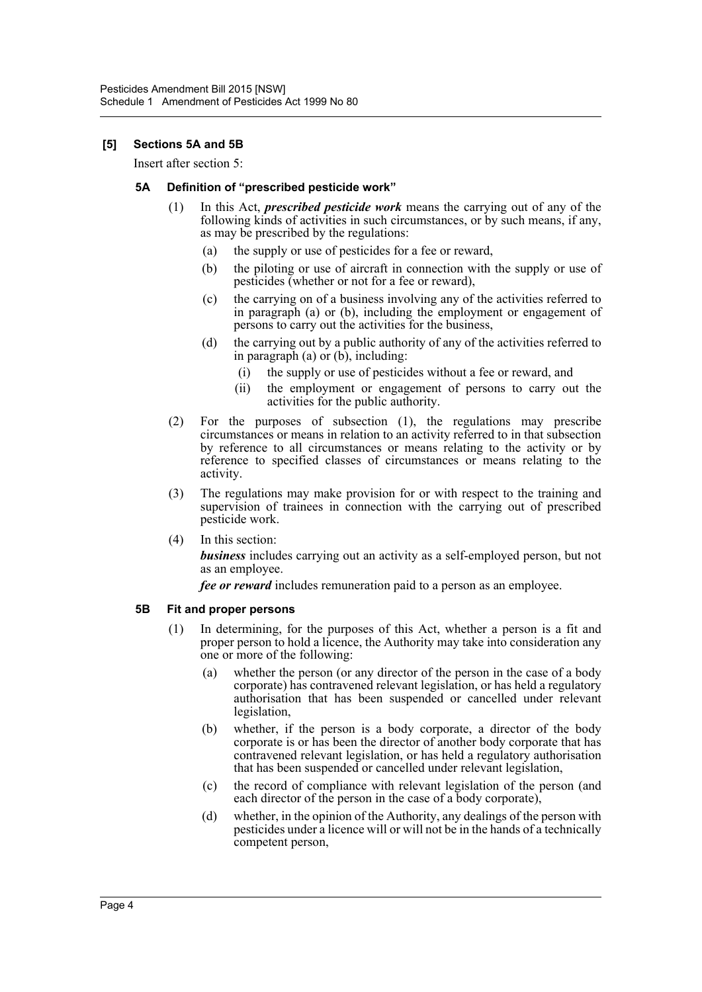## **[5] Sections 5A and 5B**

Insert after section 5:

#### **5A Definition of "prescribed pesticide work"**

- (1) In this Act, *prescribed pesticide work* means the carrying out of any of the following kinds of activities in such circumstances, or by such means, if any, as may be prescribed by the regulations:
	- (a) the supply or use of pesticides for a fee or reward,
	- (b) the piloting or use of aircraft in connection with the supply or use of pesticides (whether or not for a fee or reward),
	- (c) the carrying on of a business involving any of the activities referred to in paragraph (a) or (b), including the employment or engagement of persons to carry out the activities for the business,
	- (d) the carrying out by a public authority of any of the activities referred to in paragraph  $(a)$  or  $(b)$ , including:
		- (i) the supply or use of pesticides without a fee or reward, and
		- (ii) the employment or engagement of persons to carry out the activities for the public authority.
- (2) For the purposes of subsection (1), the regulations may prescribe circumstances or means in relation to an activity referred to in that subsection by reference to all circumstances or means relating to the activity or by reference to specified classes of circumstances or means relating to the activity.
- (3) The regulations may make provision for or with respect to the training and supervision of trainees in connection with the carrying out of prescribed pesticide work.
- (4) In this section:

*business* includes carrying out an activity as a self-employed person, but not as an employee.

*fee or reward* includes remuneration paid to a person as an employee.

#### **5B Fit and proper persons**

- (1) In determining, for the purposes of this Act, whether a person is a fit and proper person to hold a licence, the Authority may take into consideration any one or more of the following:
	- (a) whether the person (or any director of the person in the case of a body corporate) has contravened relevant legislation, or has held a regulatory authorisation that has been suspended or cancelled under relevant legislation,
	- (b) whether, if the person is a body corporate, a director of the body corporate is or has been the director of another body corporate that has contravened relevant legislation, or has held a regulatory authorisation that has been suspended or cancelled under relevant legislation,
	- (c) the record of compliance with relevant legislation of the person (and each director of the person in the case of a body corporate),
	- (d) whether, in the opinion of the Authority, any dealings of the person with pesticides under a licence will or will not be in the hands of a technically competent person,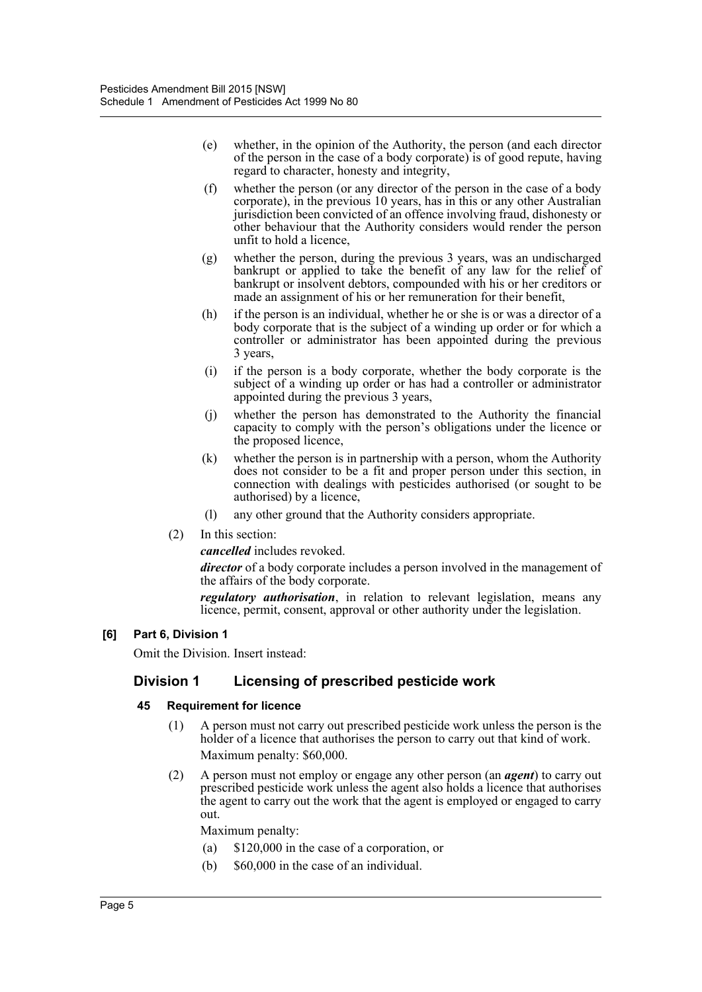- (e) whether, in the opinion of the Authority, the person (and each director of the person in the case of a body corporate) is of good repute, having regard to character, honesty and integrity,
- (f) whether the person (or any director of the person in the case of a body corporate), in the previous 10 years, has in this or any other Australian jurisdiction been convicted of an offence involving fraud, dishonesty or other behaviour that the Authority considers would render the person unfit to hold a licence,
- (g) whether the person, during the previous 3 years, was an undischarged bankrupt or applied to take the benefit of any law for the relief of bankrupt or insolvent debtors, compounded with his or her creditors or made an assignment of his or her remuneration for their benefit,
- (h) if the person is an individual, whether he or she is or was a director of a body corporate that is the subject of a winding up order or for which a controller or administrator has been appointed during the previous 3 years,
- (i) if the person is a body corporate, whether the body corporate is the subject of a winding up order or has had a controller or administrator appointed during the previous 3 years,
- (j) whether the person has demonstrated to the Authority the financial capacity to comply with the person's obligations under the licence or the proposed licence,
- (k) whether the person is in partnership with a person, whom the Authority does not consider to be a fit and proper person under this section, in connection with dealings with pesticides authorised (or sought to be authorised) by a licence,
- (l) any other ground that the Authority considers appropriate.
- (2) In this section:

*cancelled* includes revoked.

*director* of a body corporate includes a person involved in the management of the affairs of the body corporate.

*regulatory authorisation*, in relation to relevant legislation, means any licence, permit, consent, approval or other authority under the legislation.

# **[6] Part 6, Division 1**

Omit the Division. Insert instead:

# **Division 1 Licensing of prescribed pesticide work**

#### **45 Requirement for licence**

- (1) A person must not carry out prescribed pesticide work unless the person is the holder of a licence that authorises the person to carry out that kind of work. Maximum penalty: \$60,000.
- (2) A person must not employ or engage any other person (an *agent*) to carry out prescribed pesticide work unless the agent also holds a licence that authorises the agent to carry out the work that the agent is employed or engaged to carry out.

Maximum penalty:

- (a) \$120,000 in the case of a corporation, or
- (b) \$60,000 in the case of an individual.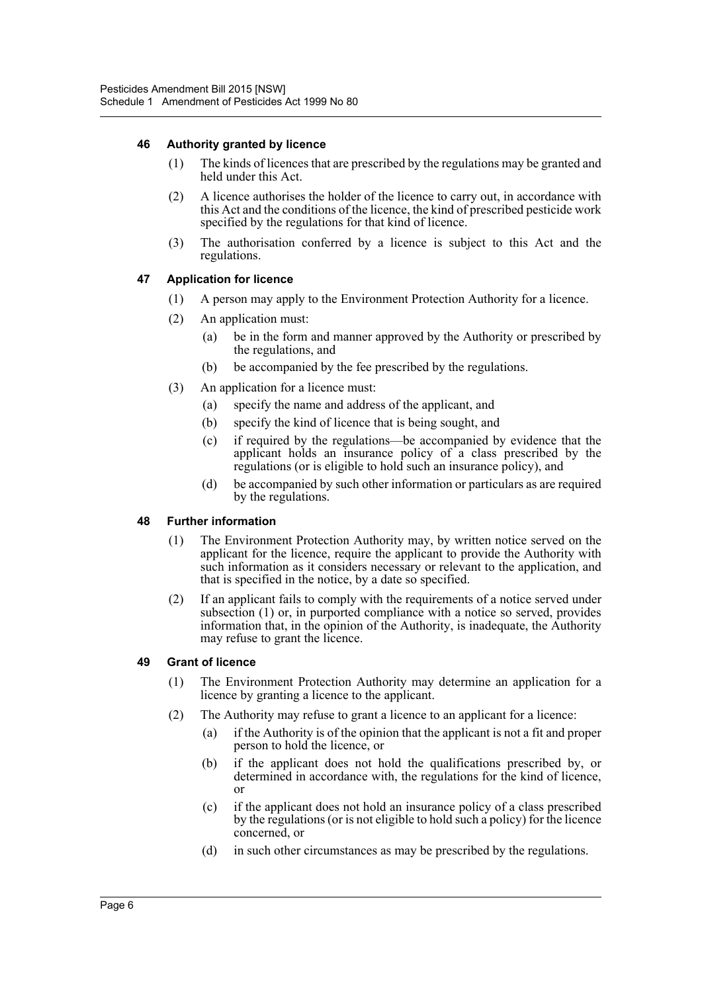## **46 Authority granted by licence**

- (1) The kinds of licences that are prescribed by the regulations may be granted and held under this Act.
- (2) A licence authorises the holder of the licence to carry out, in accordance with this Act and the conditions of the licence, the kind of prescribed pesticide work specified by the regulations for that kind of licence.
- (3) The authorisation conferred by a licence is subject to this Act and the regulations.

## **47 Application for licence**

- (1) A person may apply to the Environment Protection Authority for a licence.
- (2) An application must:
	- (a) be in the form and manner approved by the Authority or prescribed by the regulations, and
	- (b) be accompanied by the fee prescribed by the regulations.
- (3) An application for a licence must:
	- (a) specify the name and address of the applicant, and
	- (b) specify the kind of licence that is being sought, and
	- (c) if required by the regulations—be accompanied by evidence that the applicant holds an insurance policy of a class prescribed by the regulations (or is eligible to hold such an insurance policy), and
	- (d) be accompanied by such other information or particulars as are required by the regulations.

#### **48 Further information**

- (1) The Environment Protection Authority may, by written notice served on the applicant for the licence, require the applicant to provide the Authority with such information as it considers necessary or relevant to the application, and that is specified in the notice, by a date so specified.
- (2) If an applicant fails to comply with the requirements of a notice served under subsection (1) or, in purported compliance with a notice so served, provides information that, in the opinion of the Authority, is inadequate, the Authority may refuse to grant the licence.

#### **49 Grant of licence**

- (1) The Environment Protection Authority may determine an application for a licence by granting a licence to the applicant.
- (2) The Authority may refuse to grant a licence to an applicant for a licence:
	- (a) if the Authority is of the opinion that the applicant is not a fit and proper person to hold the licence, or
	- (b) if the applicant does not hold the qualifications prescribed by, or determined in accordance with, the regulations for the kind of licence, or
	- (c) if the applicant does not hold an insurance policy of a class prescribed by the regulations (or is not eligible to hold such a policy) for the licence concerned, or
	- (d) in such other circumstances as may be prescribed by the regulations.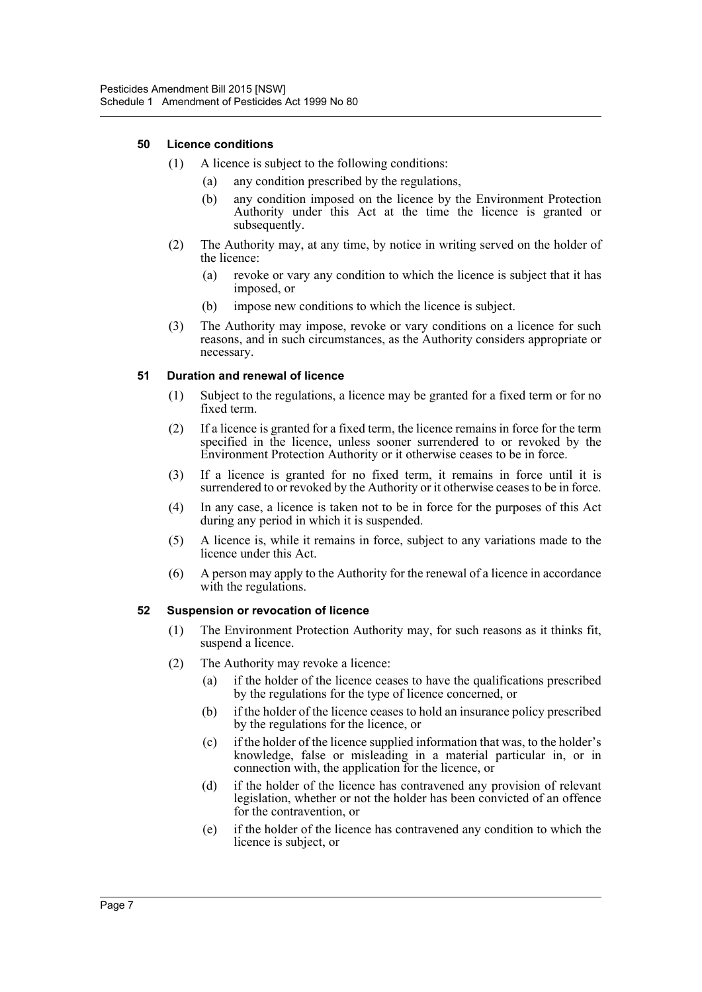#### **50 Licence conditions**

- (1) A licence is subject to the following conditions:
	- (a) any condition prescribed by the regulations,
	- (b) any condition imposed on the licence by the Environment Protection Authority under this Act at the time the licence is granted or subsequently.
- (2) The Authority may, at any time, by notice in writing served on the holder of the licence:
	- (a) revoke or vary any condition to which the licence is subject that it has imposed, or
	- (b) impose new conditions to which the licence is subject.
- (3) The Authority may impose, revoke or vary conditions on a licence for such reasons, and in such circumstances, as the Authority considers appropriate or necessary.

#### **51 Duration and renewal of licence**

- (1) Subject to the regulations, a licence may be granted for a fixed term or for no fixed term.
- (2) If a licence is granted for a fixed term, the licence remains in force for the term specified in the licence, unless sooner surrendered to or revoked by the Environment Protection Authority or it otherwise ceases to be in force.
- (3) If a licence is granted for no fixed term, it remains in force until it is surrendered to or revoked by the Authority or it otherwise ceases to be in force.
- (4) In any case, a licence is taken not to be in force for the purposes of this Act during any period in which it is suspended.
- (5) A licence is, while it remains in force, subject to any variations made to the licence under this Act.
- (6) A person may apply to the Authority for the renewal of a licence in accordance with the regulations.

#### **52 Suspension or revocation of licence**

- (1) The Environment Protection Authority may, for such reasons as it thinks fit, suspend a licence.
- (2) The Authority may revoke a licence:
	- (a) if the holder of the licence ceases to have the qualifications prescribed by the regulations for the type of licence concerned, or
	- (b) if the holder of the licence ceases to hold an insurance policy prescribed by the regulations for the licence, or
	- (c) if the holder of the licence supplied information that was, to the holder's knowledge, false or misleading in a material particular in, or in connection with, the application for the licence, or
	- (d) if the holder of the licence has contravened any provision of relevant legislation, whether or not the holder has been convicted of an offence for the contravention, or
	- (e) if the holder of the licence has contravened any condition to which the licence is subject, or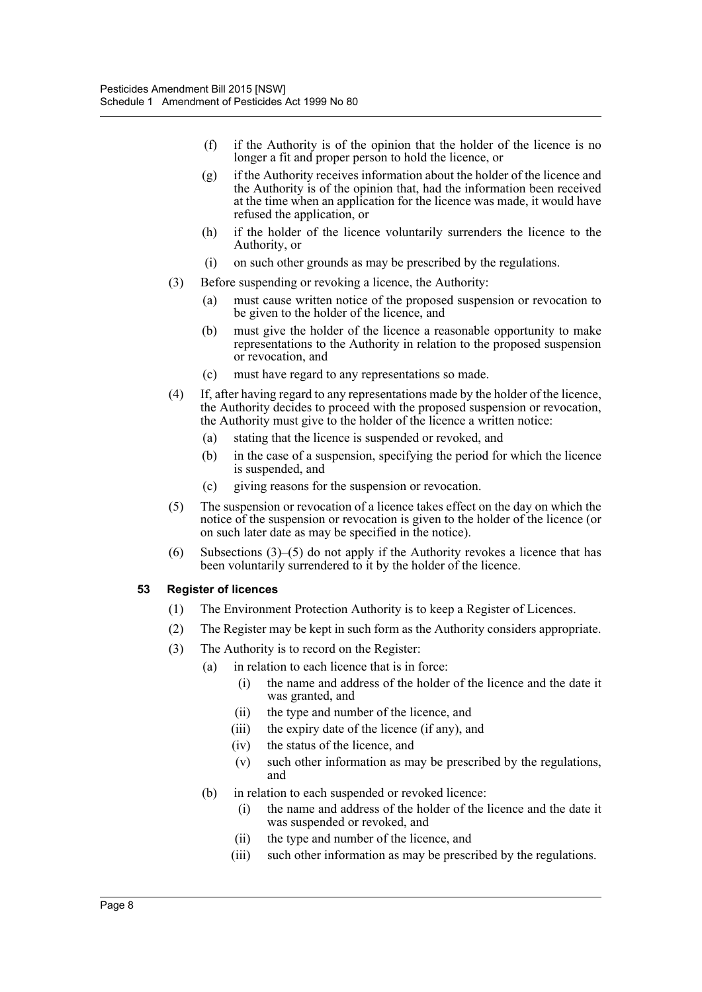- (f) if the Authority is of the opinion that the holder of the licence is no longer a fit and proper person to hold the licence, or
- (g) if the Authority receives information about the holder of the licence and the Authority is of the opinion that, had the information been received at the time when an application for the licence was made, it would have refused the application, or
- (h) if the holder of the licence voluntarily surrenders the licence to the Authority, or
- (i) on such other grounds as may be prescribed by the regulations.
- (3) Before suspending or revoking a licence, the Authority:
	- (a) must cause written notice of the proposed suspension or revocation to be given to the holder of the licence, and
	- (b) must give the holder of the licence a reasonable opportunity to make representations to the Authority in relation to the proposed suspension or revocation, and
	- (c) must have regard to any representations so made.
- (4) If, after having regard to any representations made by the holder of the licence, the Authority decides to proceed with the proposed suspension or revocation, the Authority must give to the holder of the licence a written notice:
	- (a) stating that the licence is suspended or revoked, and
	- (b) in the case of a suspension, specifying the period for which the licence is suspended, and
	- (c) giving reasons for the suspension or revocation.
- (5) The suspension or revocation of a licence takes effect on the day on which the notice of the suspension or revocation is given to the holder of the licence (or on such later date as may be specified in the notice).
- (6) Subsections  $(3)$ – $(5)$  do not apply if the Authority revokes a licence that has been voluntarily surrendered to it by the holder of the licence.

#### **53 Register of licences**

- (1) The Environment Protection Authority is to keep a Register of Licences.
- (2) The Register may be kept in such form as the Authority considers appropriate.
- (3) The Authority is to record on the Register:
	- (a) in relation to each licence that is in force:
		- (i) the name and address of the holder of the licence and the date it was granted, and
		- (ii) the type and number of the licence, and
		- (iii) the expiry date of the licence (if any), and
		- (iv) the status of the licence, and
		- (v) such other information as may be prescribed by the regulations, and
	- (b) in relation to each suspended or revoked licence:
		- (i) the name and address of the holder of the licence and the date it was suspended or revoked, and
		- (ii) the type and number of the licence, and
		- (iii) such other information as may be prescribed by the regulations.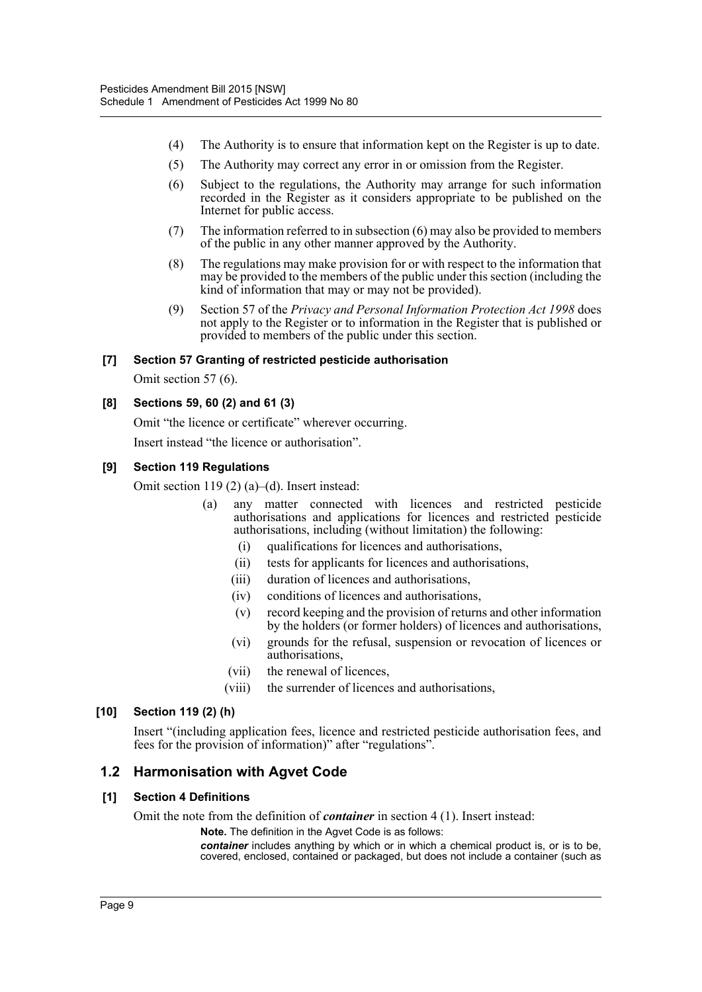- (4) The Authority is to ensure that information kept on the Register is up to date.
- (5) The Authority may correct any error in or omission from the Register.
- (6) Subject to the regulations, the Authority may arrange for such information recorded in the Register as it considers appropriate to be published on the Internet for public access.
- (7) The information referred to in subsection (6) may also be provided to members of the public in any other manner approved by the Authority.
- (8) The regulations may make provision for or with respect to the information that may be provided to the members of the public under this section (including the kind of information that may or may not be provided).
- (9) Section 57 of the *Privacy and Personal Information Protection Act 1998* does not apply to the Register or to information in the Register that is published or provided to members of the public under this section.

# **[7] Section 57 Granting of restricted pesticide authorisation**

Omit section 57 (6).

## **[8] Sections 59, 60 (2) and 61 (3)**

Omit "the licence or certificate" wherever occurring.

Insert instead "the licence or authorisation".

## **[9] Section 119 Regulations**

Omit section 119 (2) (a)–(d). Insert instead:

- (a) any matter connected with licences and restricted pesticide authorisations and applications for licences and restricted pesticide authorisations, including (without limitation) the following:
	- (i) qualifications for licences and authorisations,
	- (ii) tests for applicants for licences and authorisations,
	- (iii) duration of licences and authorisations,
	- (iv) conditions of licences and authorisations,
	- (v) record keeping and the provision of returns and other information by the holders (or former holders) of licences and authorisations,
	- (vi) grounds for the refusal, suspension or revocation of licences or authorisations,
	- (vii) the renewal of licences,
	- (viii) the surrender of licences and authorisations,

#### **[10] Section 119 (2) (h)**

Insert "(including application fees, licence and restricted pesticide authorisation fees, and fees for the provision of information)" after "regulations".

# **1.2 Harmonisation with Agvet Code**

#### **[1] Section 4 Definitions**

Omit the note from the definition of *container* in section 4 (1). Insert instead:

**Note.** The definition in the Agvet Code is as follows:

*container* includes anything by which or in which a chemical product is, or is to be, covered, enclosed, contained or packaged, but does not include a container (such as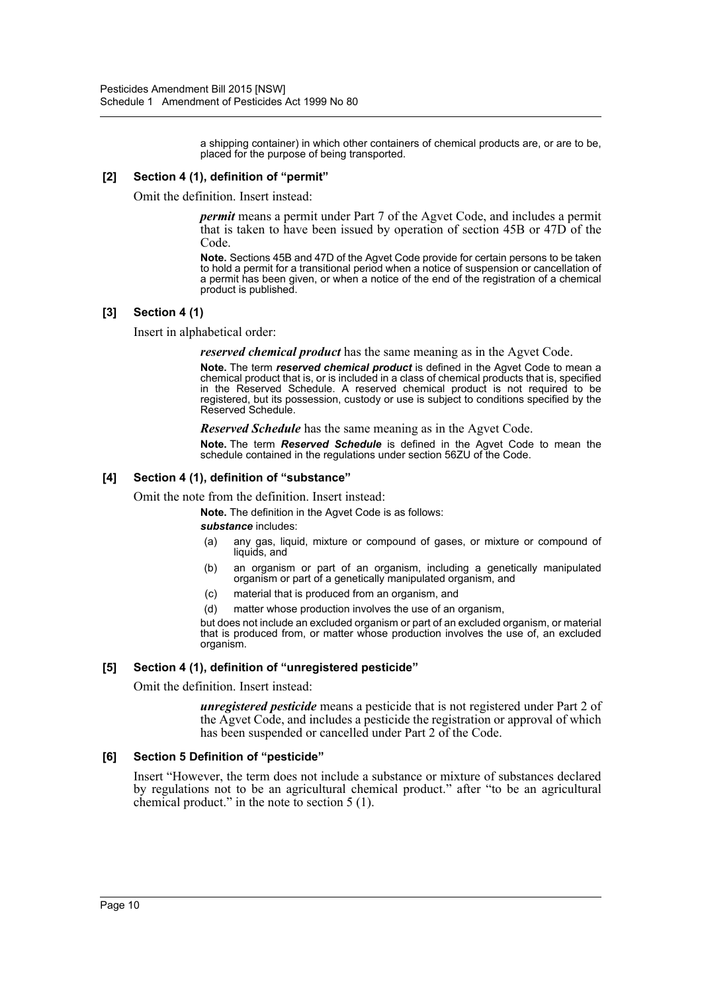a shipping container) in which other containers of chemical products are, or are to be, placed for the purpose of being transported.

#### **[2] Section 4 (1), definition of "permit"**

Omit the definition. Insert instead:

*permit* means a permit under Part 7 of the Agvet Code, and includes a permit that is taken to have been issued by operation of section 45B or 47D of the Code.

**Note.** Sections 45B and 47D of the Agvet Code provide for certain persons to be taken to hold a permit for a transitional period when a notice of suspension or cancellation of a permit has been given, or when a notice of the end of the registration of a chemical product is published.

## **[3] Section 4 (1)**

Insert in alphabetical order:

*reserved chemical product* has the same meaning as in the Agvet Code.

**Note.** The term *reserved chemical product* is defined in the Agvet Code to mean a chemical product that is, or is included in a class of chemical products that is, specified in the Reserved Schedule. A reserved chemical product is not required to be registered, but its possession, custody or use is subject to conditions specified by the Reserved Schedule.

*Reserved Schedule* has the same meaning as in the Agvet Code.

**Note.** The term *Reserved Schedule* is defined in the Agvet Code to mean the schedule contained in the regulations under section 56ZU of the Code.

#### **[4] Section 4 (1), definition of "substance"**

Omit the note from the definition. Insert instead:

**Note.** The definition in the Agvet Code is as follows:

#### *substance* includes:

- (a) any gas, liquid, mixture or compound of gases, or mixture or compound of liquids, and
- (b) an organism or part of an organism, including a genetically manipulated organism or part of a genetically manipulated organism, and
- (c) material that is produced from an organism, and
- (d) matter whose production involves the use of an organism,

but does not include an excluded organism or part of an excluded organism, or material that is produced from, or matter whose production involves the use of, an excluded organism.

#### **[5] Section 4 (1), definition of "unregistered pesticide"**

Omit the definition. Insert instead:

*unregistered pesticide* means a pesticide that is not registered under Part 2 of the Agvet Code, and includes a pesticide the registration or approval of which has been suspended or cancelled under Part 2 of the Code.

#### **[6] Section 5 Definition of "pesticide"**

Insert "However, the term does not include a substance or mixture of substances declared by regulations not to be an agricultural chemical product." after "to be an agricultural chemical product." in the note to section 5 (1).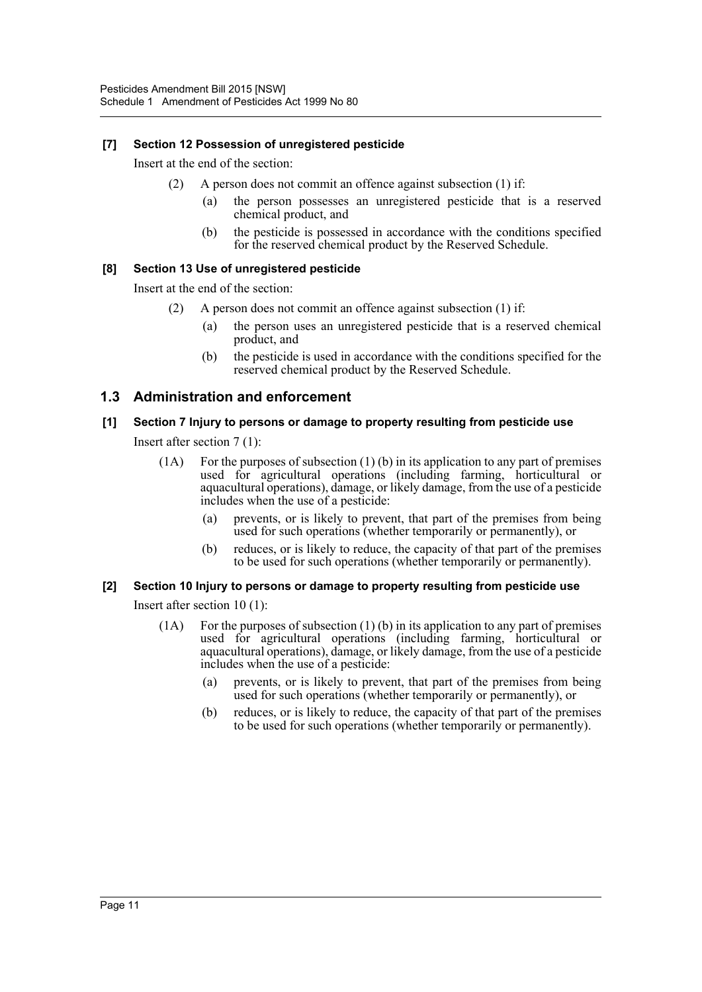# **[7] Section 12 Possession of unregistered pesticide**

Insert at the end of the section:

- (2) A person does not commit an offence against subsection (1) if:
	- (a) the person possesses an unregistered pesticide that is a reserved chemical product, and
	- (b) the pesticide is possessed in accordance with the conditions specified for the reserved chemical product by the Reserved Schedule.

## **[8] Section 13 Use of unregistered pesticide**

Insert at the end of the section:

- (2) A person does not commit an offence against subsection (1) if:
	- (a) the person uses an unregistered pesticide that is a reserved chemical product, and
	- (b) the pesticide is used in accordance with the conditions specified for the reserved chemical product by the Reserved Schedule.

# **1.3 Administration and enforcement**

## **[1] Section 7 Injury to persons or damage to property resulting from pesticide use**

Insert after section 7 (1):

- $(1)$  For the purposes of subsection  $(1)$  (b) in its application to any part of premises used for agricultural operations (including farming, horticultural or aquacultural operations), damage, or likely damage, from the use of a pesticide includes when the use of a pesticide:
	- (a) prevents, or is likely to prevent, that part of the premises from being used for such operations (whether temporarily or permanently), or
	- (b) reduces, or is likely to reduce, the capacity of that part of the premises to be used for such operations (whether temporarily or permanently).

# **[2] Section 10 Injury to persons or damage to property resulting from pesticide use**

Insert after section 10 (1):

- (1A) For the purposes of subsection (1) (b) in its application to any part of premises used for agricultural operations (including farming horticultural or aquacultural operations), damage, or likely damage, from the use of a pesticide includes when the use of a pesticide:
	- (a) prevents, or is likely to prevent, that part of the premises from being used for such operations (whether temporarily or permanently), or
	- (b) reduces, or is likely to reduce, the capacity of that part of the premises to be used for such operations (whether temporarily or permanently).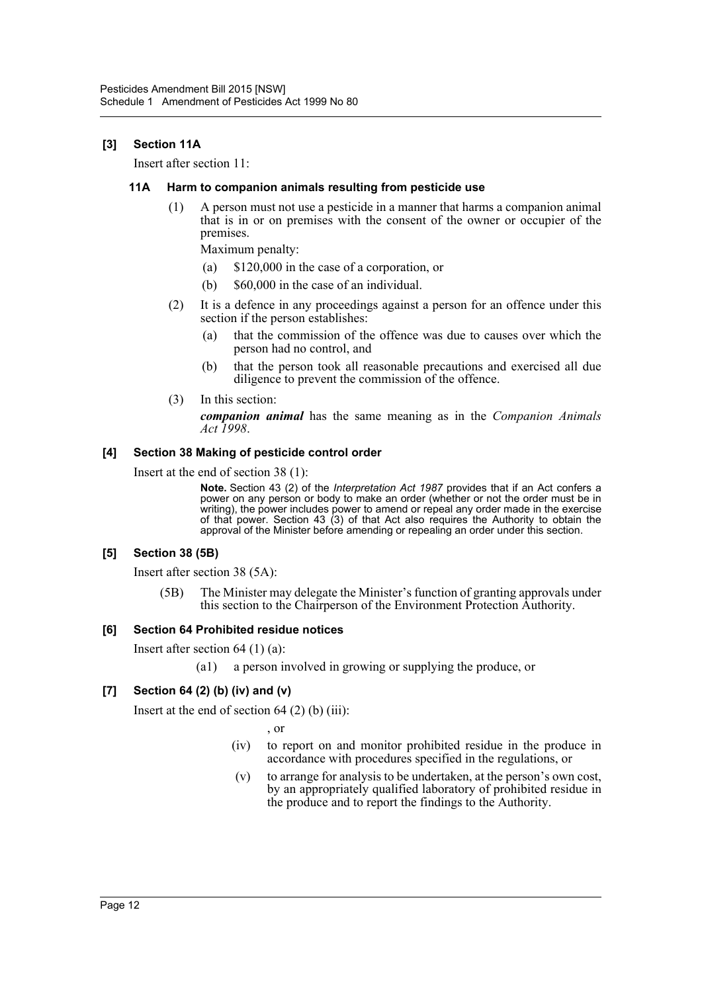# **[3] Section 11A**

Insert after section 11:

#### **11A Harm to companion animals resulting from pesticide use**

(1) A person must not use a pesticide in a manner that harms a companion animal that is in or on premises with the consent of the owner or occupier of the premises.

Maximum penalty:

- (a) \$120,000 in the case of a corporation, or
- (b) \$60,000 in the case of an individual.
- (2) It is a defence in any proceedings against a person for an offence under this section if the person establishes:
	- (a) that the commission of the offence was due to causes over which the person had no control, and
	- (b) that the person took all reasonable precautions and exercised all due diligence to prevent the commission of the offence.
- (3) In this section:

*companion animal* has the same meaning as in the *Companion Animals Act 1998*.

## **[4] Section 38 Making of pesticide control order**

Insert at the end of section 38 (1):

**Note.** Section 43 (2) of the *Interpretation Act 1987* provides that if an Act confers a power on any person or body to make an order (whether or not the order must be in writing), the power includes power to amend or repeal any order made in the exercise of that power. Section 43 (3) of that Act also requires the Authority to obtain the approval of the Minister before amending or repealing an order under this section.

#### **[5] Section 38 (5B)**

Insert after section 38 (5A):

(5B) The Minister may delegate the Minister's function of granting approvals under this section to the Chairperson of the Environment Protection Authority.

#### **[6] Section 64 Prohibited residue notices**

Insert after section 64 (1) (a):

(a1) a person involved in growing or supplying the produce, or

# **[7] Section 64 (2) (b) (iv) and (v)**

Insert at the end of section  $64(2)$  (b) (iii):

, or

- (iv) to report on and monitor prohibited residue in the produce in accordance with procedures specified in the regulations, or
- (v) to arrange for analysis to be undertaken, at the person's own cost, by an appropriately qualified laboratory of prohibited residue in the produce and to report the findings to the Authority.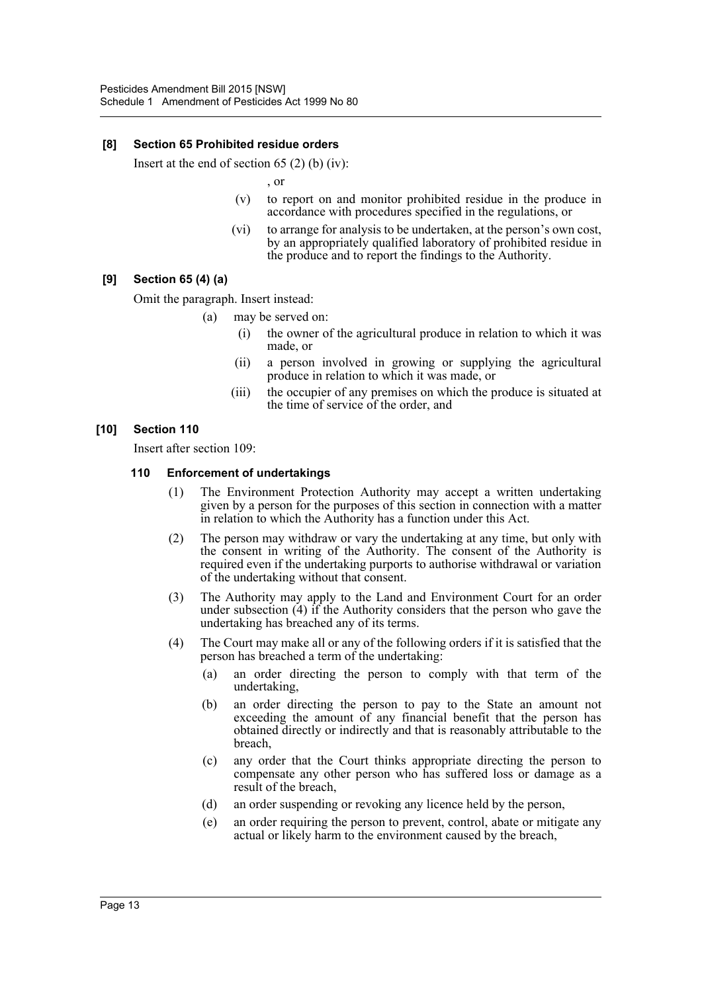#### **[8] Section 65 Prohibited residue orders**

Insert at the end of section 65 (2) (b) (iv):

, or

- (v) to report on and monitor prohibited residue in the produce in accordance with procedures specified in the regulations, or
- (vi) to arrange for analysis to be undertaken, at the person's own cost, by an appropriately qualified laboratory of prohibited residue in the produce and to report the findings to the Authority.

## **[9] Section 65 (4) (a)**

Omit the paragraph. Insert instead:

(a) may be served on:

- (i) the owner of the agricultural produce in relation to which it was made, or
- (ii) a person involved in growing or supplying the agricultural produce in relation to which it was made, or
- (iii) the occupier of any premises on which the produce is situated at the time of service of the order, and

#### **[10] Section 110**

Insert after section 109:

#### **110 Enforcement of undertakings**

- (1) The Environment Protection Authority may accept a written undertaking given by a person for the purposes of this section in connection with a matter in relation to which the Authority has a function under this Act.
- (2) The person may withdraw or vary the undertaking at any time, but only with the consent in writing of the Authority. The consent of the Authority is required even if the undertaking purports to authorise withdrawal or variation of the undertaking without that consent.
- (3) The Authority may apply to the Land and Environment Court for an order under subsection  $(4)$  if the Authority considers that the person who gave the undertaking has breached any of its terms.
- (4) The Court may make all or any of the following orders if it is satisfied that the person has breached a term of the undertaking:
	- (a) an order directing the person to comply with that term of the undertaking,
	- (b) an order directing the person to pay to the State an amount not exceeding the amount of any financial benefit that the person has obtained directly or indirectly and that is reasonably attributable to the breach,
	- (c) any order that the Court thinks appropriate directing the person to compensate any other person who has suffered loss or damage as a result of the breach,
	- (d) an order suspending or revoking any licence held by the person,
	- (e) an order requiring the person to prevent, control, abate or mitigate any actual or likely harm to the environment caused by the breach,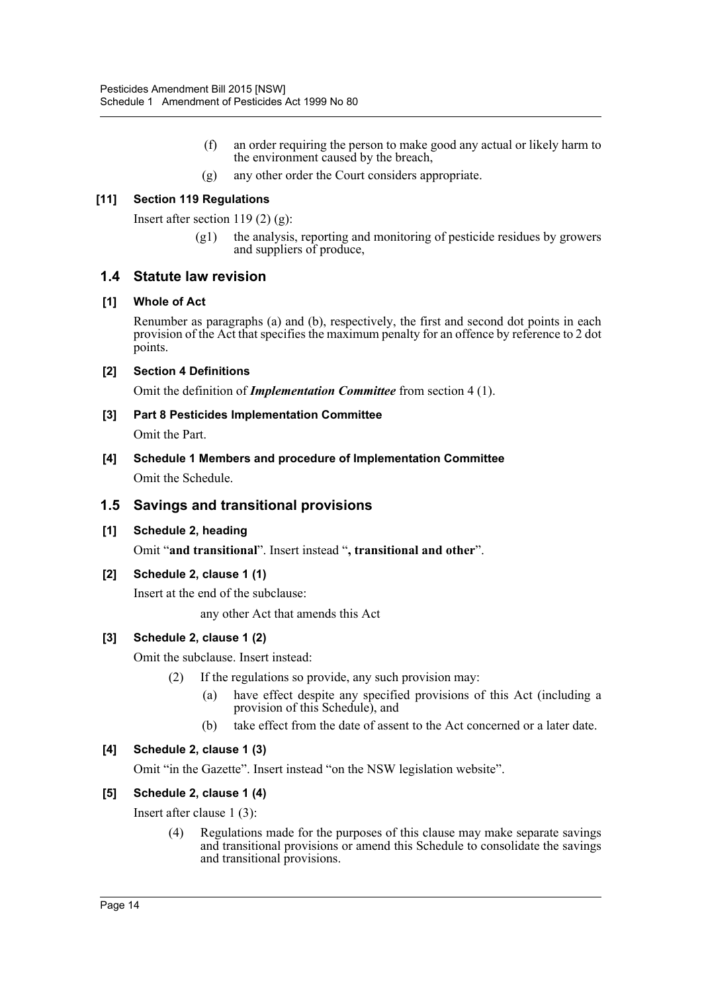- (f) an order requiring the person to make good any actual or likely harm to the environment caused by the breach,
- (g) any other order the Court considers appropriate.

# **[11] Section 119 Regulations**

Insert after section 119 (2) (g):

(g1) the analysis, reporting and monitoring of pesticide residues by growers and suppliers of produce,

# **1.4 Statute law revision**

## **[1] Whole of Act**

Renumber as paragraphs (a) and (b), respectively, the first and second dot points in each provision of the Act that specifies the maximum penalty for an offence by reference to 2 dot points.

## **[2] Section 4 Definitions**

Omit the definition of *Implementation Committee* from section 4 (1).

## **[3] Part 8 Pesticides Implementation Committee**

Omit the Part.

**[4] Schedule 1 Members and procedure of Implementation Committee** Omit the Schedule.

# **1.5 Savings and transitional provisions**

# **[1] Schedule 2, heading**

Omit "**and transitional**". Insert instead "**, transitional and other**".

# **[2] Schedule 2, clause 1 (1)**

Insert at the end of the subclause:

any other Act that amends this Act

# **[3] Schedule 2, clause 1 (2)**

Omit the subclause. Insert instead:

(2) If the regulations so provide, any such provision may:

- (a) have effect despite any specified provisions of this Act (including a provision of this Schedule), and
- (b) take effect from the date of assent to the Act concerned or a later date.

# **[4] Schedule 2, clause 1 (3)**

Omit "in the Gazette". Insert instead "on the NSW legislation website".

# **[5] Schedule 2, clause 1 (4)**

Insert after clause 1 (3):

(4) Regulations made for the purposes of this clause may make separate savings and transitional provisions or amend this Schedule to consolidate the savings and transitional provisions.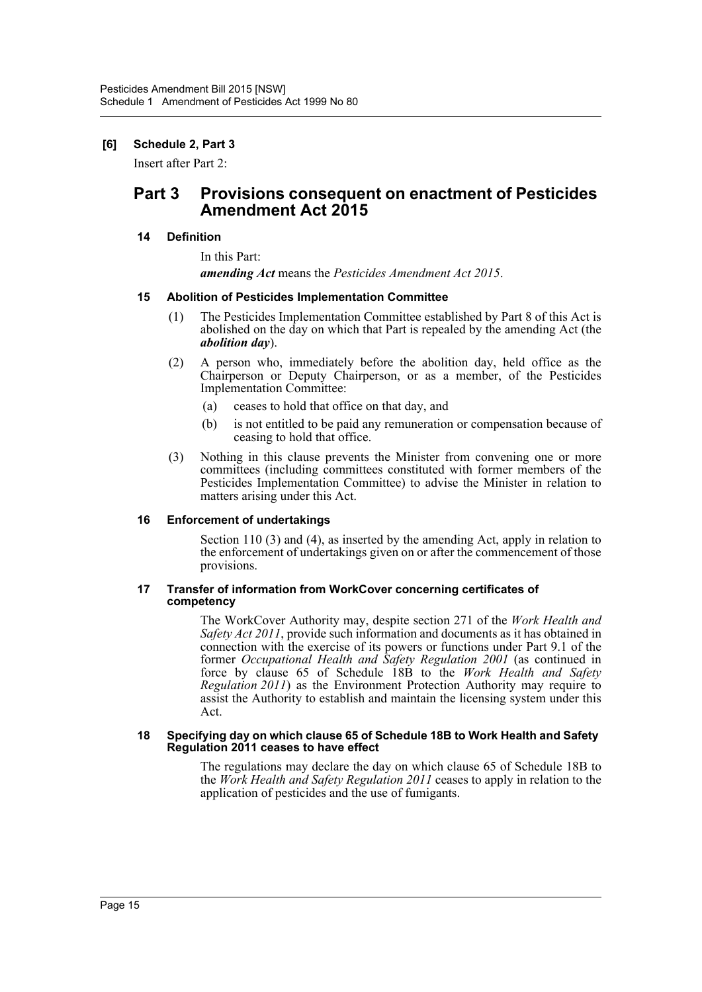# **[6] Schedule 2, Part 3**

Insert after Part 2:

# **Part 3 Provisions consequent on enactment of Pesticides Amendment Act 2015**

# **14 Definition**

In this Part:

*amending Act* means the *Pesticides Amendment Act 2015*.

#### **15 Abolition of Pesticides Implementation Committee**

- (1) The Pesticides Implementation Committee established by Part 8 of this Act is abolished on the day on which that Part is repealed by the amending Act (the *abolition day*).
- (2) A person who, immediately before the abolition day, held office as the Chairperson or Deputy Chairperson, or as a member, of the Pesticides Implementation Committee:
	- (a) ceases to hold that office on that day, and
	- (b) is not entitled to be paid any remuneration or compensation because of ceasing to hold that office.
- (3) Nothing in this clause prevents the Minister from convening one or more committees (including committees constituted with former members of the Pesticides Implementation Committee) to advise the Minister in relation to matters arising under this Act.

#### **16 Enforcement of undertakings**

Section 110 (3) and (4), as inserted by the amending Act, apply in relation to the enforcement of undertakings given on or after the commencement of those provisions.

#### **17 Transfer of information from WorkCover concerning certificates of competency**

The WorkCover Authority may, despite section 271 of the *Work Health and Safety Act 2011*, provide such information and documents as it has obtained in connection with the exercise of its powers or functions under Part 9.1 of the former *Occupational Health and Safety Regulation 2001* (as continued in force by clause 65 of Schedule 18B to the *Work Health and Safety Regulation 2011*) as the Environment Protection Authority may require to assist the Authority to establish and maintain the licensing system under this Act.

#### **18 Specifying day on which clause 65 of Schedule 18B to Work Health and Safety Regulation 2011 ceases to have effect**

The regulations may declare the day on which clause 65 of Schedule 18B to the *Work Health and Safety Regulation 2011* ceases to apply in relation to the application of pesticides and the use of fumigants.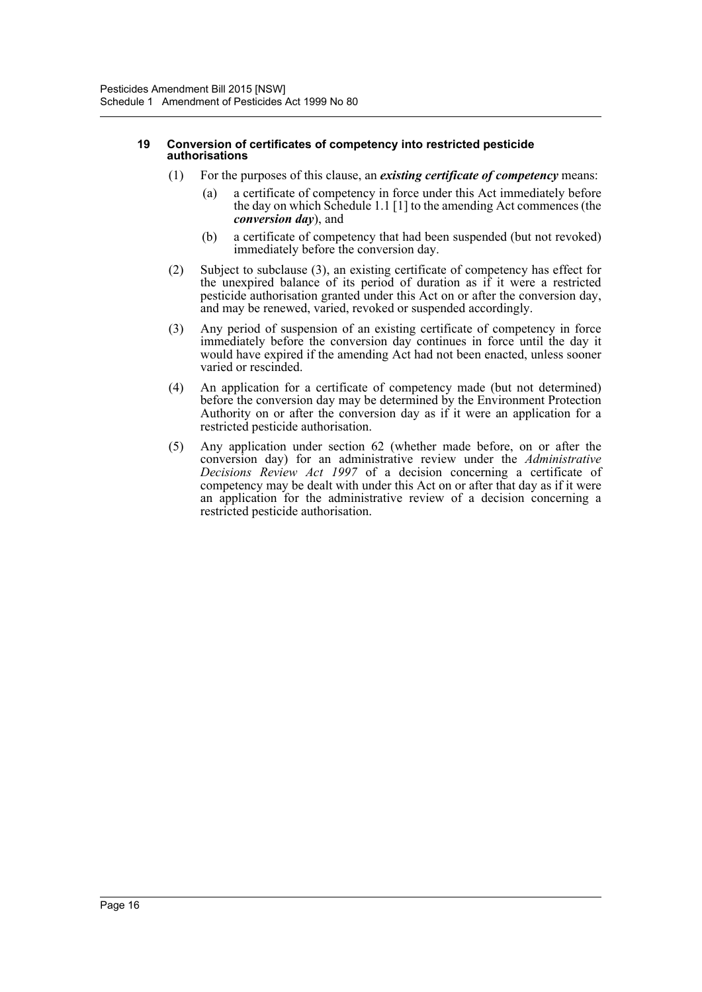#### **19 Conversion of certificates of competency into restricted pesticide authorisations**

- (1) For the purposes of this clause, an *existing certificate of competency* means:
	- (a) a certificate of competency in force under this Act immediately before the day on which Schedule 1.1 [1] to the amending Act commences (the *conversion day*), and
	- (b) a certificate of competency that had been suspended (but not revoked) immediately before the conversion day.
- (2) Subject to subclause (3), an existing certificate of competency has effect for the unexpired balance of its period of duration as if it were a restricted pesticide authorisation granted under this Act on or after the conversion day, and may be renewed, varied, revoked or suspended accordingly.
- (3) Any period of suspension of an existing certificate of competency in force immediately before the conversion day continues in force until the day it would have expired if the amending Act had not been enacted, unless sooner varied or rescinded.
- (4) An application for a certificate of competency made (but not determined) before the conversion day may be determined by the Environment Protection Authority on or after the conversion day as if it were an application for a restricted pesticide authorisation.
- (5) Any application under section 62 (whether made before, on or after the conversion day) for an administrative review under the *Administrative Decisions Review Act 1997* of a decision concerning a certificate of competency may be dealt with under this Act on or after that day as if it were an application for the administrative review of a decision concerning a restricted pesticide authorisation.